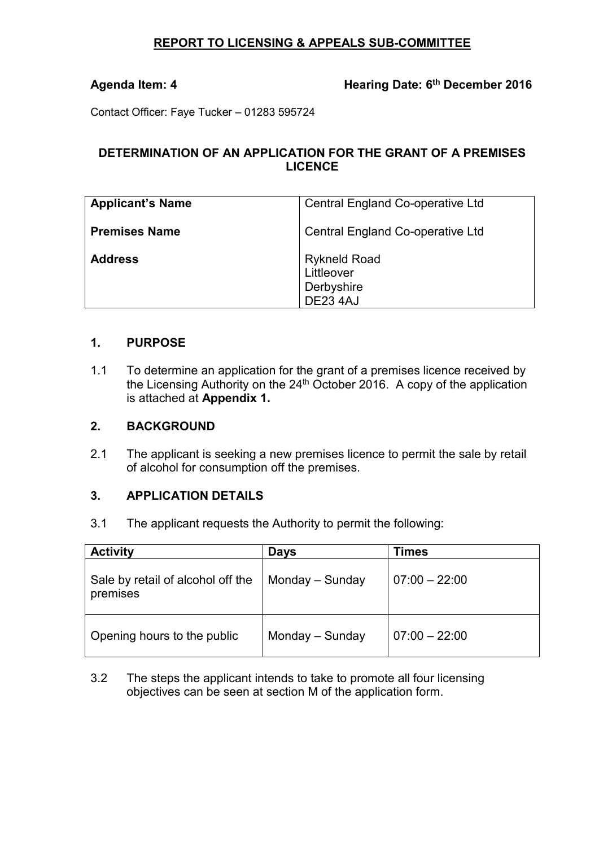# **REPORT TO LICENSING & APPEALS SUB-COMMITTEE**

# Agenda Item: 4 **Hearing Date: 6<sup>th</sup> December 2016**

Contact Officer: Faye Tucker – 01283 595724

# **DETERMINATION OF AN APPLICATION FOR THE GRANT OF A PREMISES LICENCE**

| <b>Applicant's Name</b> | Central England Co-operative Ltd                                   |  |
|-------------------------|--------------------------------------------------------------------|--|
| <b>Premises Name</b>    | Central England Co-operative Ltd                                   |  |
| <b>Address</b>          | <b>Rykneld Road</b><br>Littleover<br>Derbyshire<br><b>DE23 4AJ</b> |  |

#### **1. PURPOSE**

1.1 To determine an application for the grant of a premises licence received by the Licensing Authority on the 24<sup>th</sup> October 2016. A copy of the application is attached at **Appendix 1.**

### **2. BACKGROUND**

2.1 The applicant is seeking a new premises licence to permit the sale by retail of alcohol for consumption off the premises.

### **3. APPLICATION DETAILS**

3.1 The applicant requests the Authority to permit the following:

| <b>Activity</b>                               | <b>Days</b>     | <b>Times</b>    |
|-----------------------------------------------|-----------------|-----------------|
| Sale by retail of alcohol off the<br>premises | Monday – Sunday | $07:00 - 22:00$ |
| Opening hours to the public                   | Monday - Sunday | $07:00 - 22:00$ |

3.2 The steps the applicant intends to take to promote all four licensing objectives can be seen at section M of the application form.